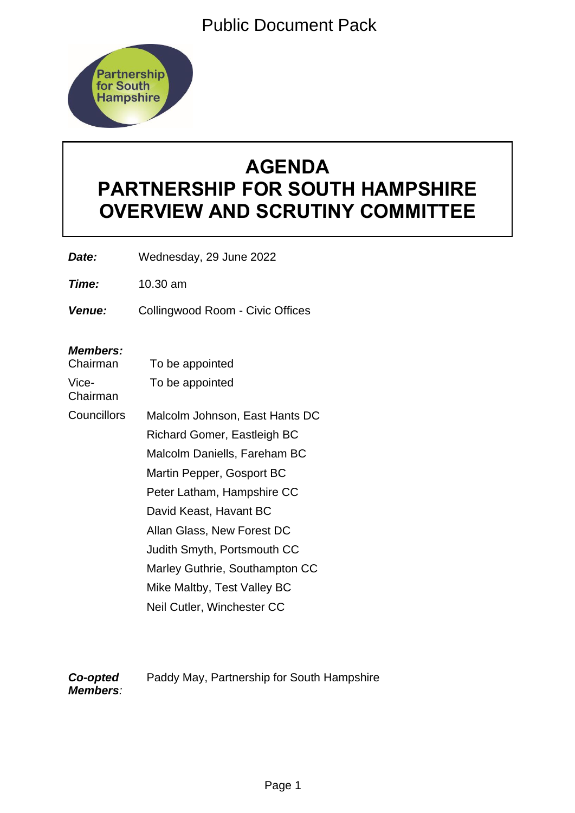Public Document Pack



# **AGENDA PARTNERSHIP FOR SOUTH HAMPSHIRE OVERVIEW AND SCRUTINY COMMITTEE**

*Date:* Wednesday, 29 June 2022

*Time:* 10.30 am

*Venue:* Collingwood Room - Civic Offices

## *Members:*

| Chairman          | To be appointed                    |
|-------------------|------------------------------------|
| Vice-<br>Chairman | To be appointed                    |
| Councillors       | Malcolm Johnson, East Hants DC     |
|                   | <b>Richard Gomer, Eastleigh BC</b> |
|                   | Malcolm Daniells, Fareham BC       |
|                   | Martin Pepper, Gosport BC          |
|                   | Peter Latham, Hampshire CC         |
|                   | David Keast, Havant BC             |
|                   | Allan Glass, New Forest DC         |
|                   | Judith Smyth, Portsmouth CC        |
|                   | Marley Guthrie, Southampton CC     |
|                   | Mike Maltby, Test Valley BC        |
|                   | Neil Cutler, Winchester CC         |

*Co-opted Members:* Paddy May, Partnership for South Hampshire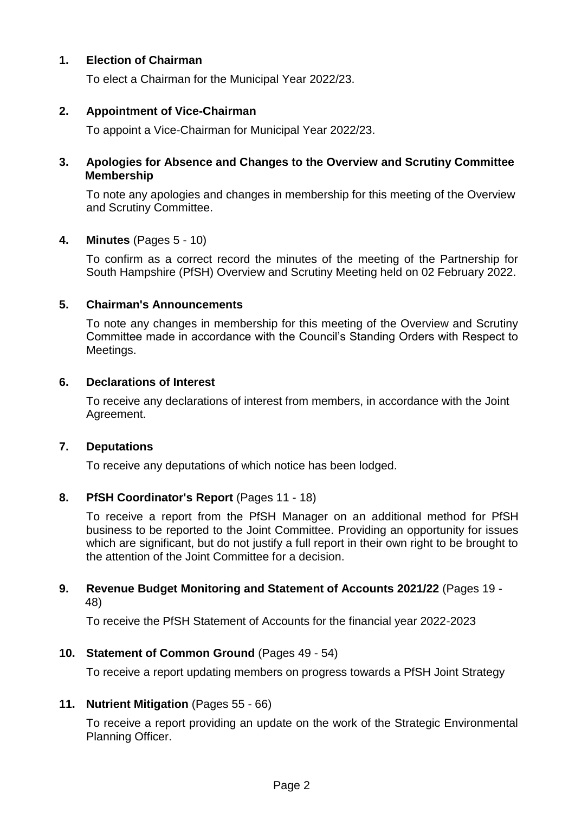## **1. Election of Chairman**

To elect a Chairman for the Municipal Year 2022/23.

#### **2. Appointment of Vice-Chairman**

To appoint a Vice-Chairman for Municipal Year 2022/23.

#### **3. Apologies for Absence and Changes to the Overview and Scrutiny Committee Membership**

To note any apologies and changes in membership for this meeting of the Overview and Scrutiny Committee.

#### **4. Minutes** (Pages 5 - 10)

To confirm as a correct record the minutes of the meeting of the Partnership for South Hampshire (PfSH) Overview and Scrutiny Meeting held on 02 February 2022.

#### **5. Chairman's Announcements**

To note any changes in membership for this meeting of the Overview and Scrutiny Committee made in accordance with the Council's Standing Orders with Respect to Meetings.

#### **6. Declarations of Interest**

To receive any declarations of interest from members, in accordance with the Joint Agreement.

#### **7. Deputations**

To receive any deputations of which notice has been lodged.

# **8. PfSH Coordinator's Report** (Pages 11 - 18)

To receive a report from the PfSH Manager on an additional method for PfSH business to be reported to the Joint Committee. Providing an opportunity for issues which are significant, but do not justify a full report in their own right to be brought to the attention of the Joint Committee for a decision.

#### **9. Revenue Budget Monitoring and Statement of Accounts 2021/22** (Pages 19 - 48)

To receive the PfSH Statement of Accounts for the financial year 2022-2023

#### **10. Statement of Common Ground** (Pages 49 - 54)

To receive a report updating members on progress towards a PfSH Joint Strategy

#### **11. Nutrient Mitigation** (Pages 55 - 66)

To receive a report providing an update on the work of the Strategic Environmental Planning Officer.